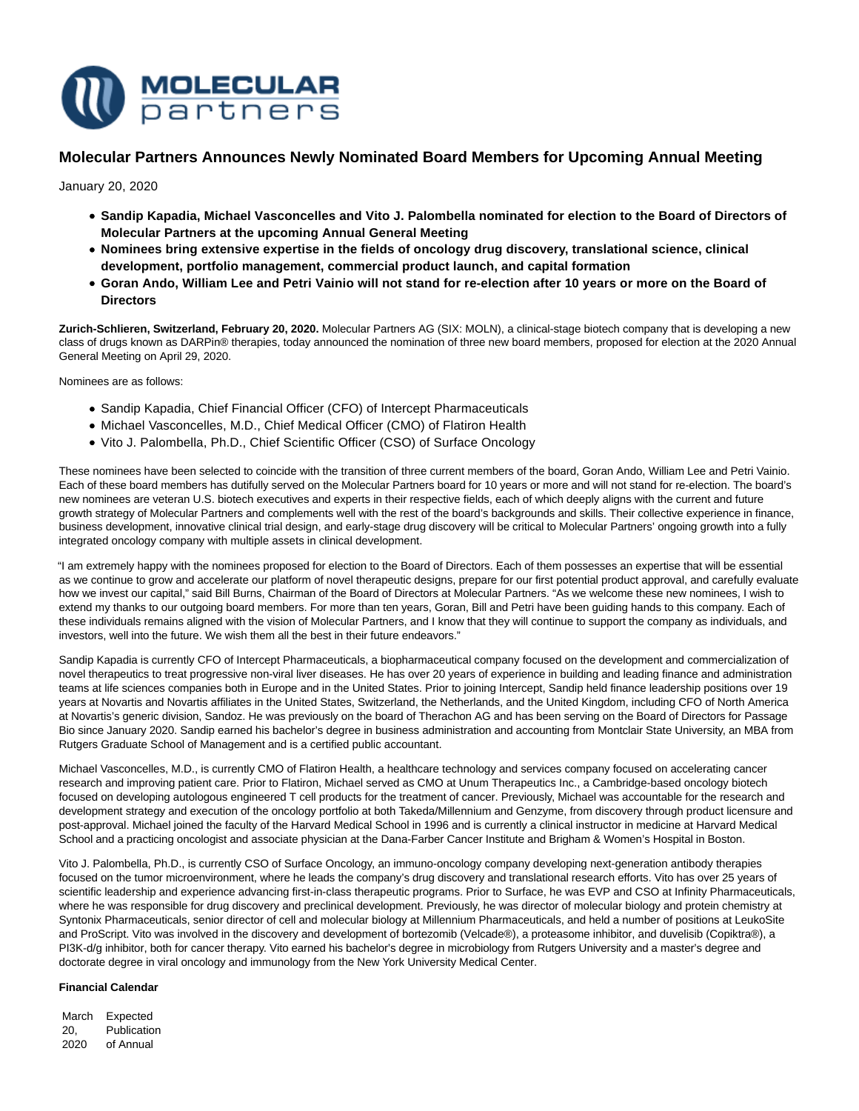

# **Molecular Partners Announces Newly Nominated Board Members for Upcoming Annual Meeting**

January 20, 2020

- **Sandip Kapadia, Michael Vasconcelles and Vito J. Palombella nominated for election to the Board of Directors of Molecular Partners at the upcoming Annual General Meeting**
- **Nominees bring extensive expertise in the fields of oncology drug discovery, translational science, clinical development, portfolio management, commercial product launch, and capital formation**
- **Goran Ando, William Lee and Petri Vainio will not stand for re-election after 10 years or more on the Board of Directors**

**Zurich-Schlieren, Switzerland, February 20, 2020.** Molecular Partners AG (SIX: MOLN), a clinical-stage biotech company that is developing a new class of drugs known as DARPin® therapies, today announced the nomination of three new board members, proposed for election at the 2020 Annual General Meeting on April 29, 2020.

Nominees are as follows:

- Sandip Kapadia, Chief Financial Officer (CFO) of Intercept Pharmaceuticals
- Michael Vasconcelles, M.D., Chief Medical Officer (CMO) of Flatiron Health
- Vito J. Palombella, Ph.D., Chief Scientific Officer (CSO) of Surface Oncology

These nominees have been selected to coincide with the transition of three current members of the board, Goran Ando, William Lee and Petri Vainio. Each of these board members has dutifully served on the Molecular Partners board for 10 years or more and will not stand for re-election. The board's new nominees are veteran U.S. biotech executives and experts in their respective fields, each of which deeply aligns with the current and future growth strategy of Molecular Partners and complements well with the rest of the board's backgrounds and skills. Their collective experience in finance, business development, innovative clinical trial design, and early-stage drug discovery will be critical to Molecular Partners' ongoing growth into a fully integrated oncology company with multiple assets in clinical development.

"I am extremely happy with the nominees proposed for election to the Board of Directors. Each of them possesses an expertise that will be essential as we continue to grow and accelerate our platform of novel therapeutic designs, prepare for our first potential product approval, and carefully evaluate how we invest our capital," said Bill Burns, Chairman of the Board of Directors at Molecular Partners. "As we welcome these new nominees, I wish to extend my thanks to our outgoing board members. For more than ten years, Goran, Bill and Petri have been guiding hands to this company. Each of these individuals remains aligned with the vision of Molecular Partners, and I know that they will continue to support the company as individuals, and investors, well into the future. We wish them all the best in their future endeavors."

Sandip Kapadia is currently CFO of Intercept Pharmaceuticals, a biopharmaceutical company focused on the development and commercialization of novel therapeutics to treat progressive non-viral liver diseases. He has over 20 years of experience in building and leading finance and administration teams at life sciences companies both in Europe and in the United States. Prior to joining Intercept, Sandip held finance leadership positions over 19 years at Novartis and Novartis affiliates in the United States, Switzerland, the Netherlands, and the United Kingdom, including CFO of North America at Novartis's generic division, Sandoz. He was previously on the board of Therachon AG and has been serving on the Board of Directors for Passage Bio since January 2020. Sandip earned his bachelor's degree in business administration and accounting from Montclair State University, an MBA from Rutgers Graduate School of Management and is a certified public accountant.

Michael Vasconcelles, M.D., is currently CMO of Flatiron Health, a healthcare technology and services company focused on accelerating cancer research and improving patient care. Prior to Flatiron, Michael served as CMO at Unum Therapeutics Inc., a Cambridge-based oncology biotech focused on developing autologous engineered T cell products for the treatment of cancer. Previously, Michael was accountable for the research and development strategy and execution of the oncology portfolio at both Takeda/Millennium and Genzyme, from discovery through product licensure and post-approval. Michael joined the faculty of the Harvard Medical School in 1996 and is currently a clinical instructor in medicine at Harvard Medical School and a practicing oncologist and associate physician at the Dana-Farber Cancer Institute and Brigham & Women's Hospital in Boston.

Vito J. Palombella, Ph.D., is currently CSO of Surface Oncology, an immuno-oncology company developing next-generation antibody therapies focused on the tumor microenvironment, where he leads the company's drug discovery and translational research efforts. Vito has over 25 years of scientific leadership and experience advancing first-in-class therapeutic programs. Prior to Surface, he was EVP and CSO at Infinity Pharmaceuticals, where he was responsible for drug discovery and preclinical development. Previously, he was director of molecular biology and protein chemistry at Syntonix Pharmaceuticals, senior director of cell and molecular biology at Millennium Pharmaceuticals, and held a number of positions at LeukoSite and ProScript. Vito was involved in the discovery and development of bortezomib (Velcade®), a proteasome inhibitor, and duvelisib (Copiktra®), a PI3K-d/g inhibitor, both for cancer therapy. Vito earned his bachelor's degree in microbiology from Rutgers University and a master's degree and doctorate degree in viral oncology and immunology from the New York University Medical Center.

## **Financial Calendar**

March Expected 20, 2020 Publication of Annual